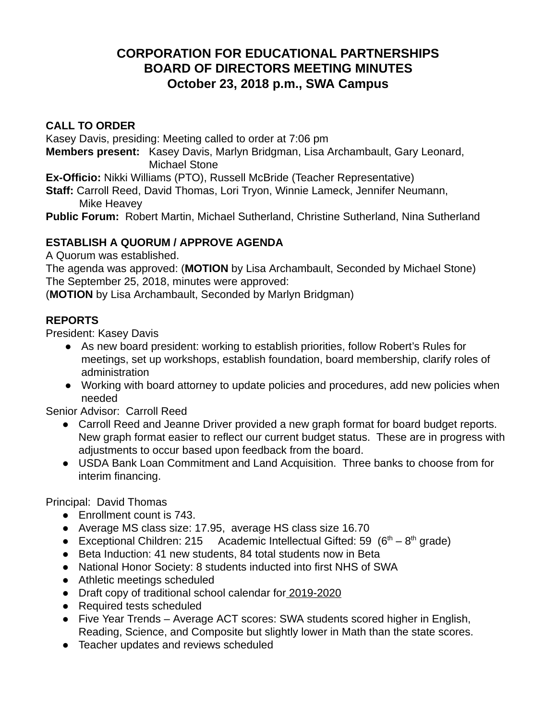# **CORPORATION FOR EDUCATIONAL PARTNERSHIPS BOARD OF DIRECTORS MEETING MINUTES October 23, 2018 p.m., SWA Campus**

## **CALL TO ORDER**

Kasey Davis, presiding: Meeting called to order at 7:06 pm

**Members present:** Kasey Davis, Marlyn Bridgman, Lisa Archambault, Gary Leonard, Michael Stone

**Ex-Officio:** Nikki Williams (PTO), Russell McBride (Teacher Representative)

**Staff:** Carroll Reed, David Thomas, Lori Tryon, Winnie Lameck, Jennifer Neumann, Mike Heavey

**Public Forum:** Robert Martin, Michael Sutherland, Christine Sutherland, Nina Sutherland

## **ESTABLISH A QUORUM / APPROVE AGENDA**

A Quorum was established.

The agenda was approved: ( **MOTION** by Lisa Archambault, Seconded by Michael Stone) The September 25, 2018, minutes were approved:

( **MOTION** by Lisa Archambault, Seconded by Marlyn Bridgman)

## **REPORTS**

President: Kasey Davis

- As new board president: working to establish priorities, follow Robert's Rules for meetings, set up workshops, establish foundation, board membership, clarify roles of administration
- Working with board attorney to update policies and procedures, add new policies when needed

Senior Advisor: Carroll Reed

- Carroll Reed and Jeanne Driver provided a new graph format for board budget reports. New graph format easier to reflect our current budget status. These are in progress with adjustments to occur based upon feedback from the board.
- USDA Bank Loan Commitment and Land Acquisition. Three banks to choose from for interim financing.

Principal: David Thomas

- Enrollment count is 743.
- Average MS class size: 17.95, average HS class size 16.70
- Exceptional Children: 215 Academic Intellectual Gifted: 59  $(6<sup>th</sup> 8<sup>th</sup>$  grade)
- Beta Induction: 41 new students, 84 total students now in Beta
- National Honor Society: 8 students inducted into first NHS of SWA
- Athletic meetings scheduled
- Draft copy of traditional school calendar for 2019-2020
- Required tests scheduled
- Five Year Trends Average ACT scores: SWA students scored higher in English, Reading, Science, and Composite but slightly lower in Math than the state scores.
- Teacher updates and reviews scheduled